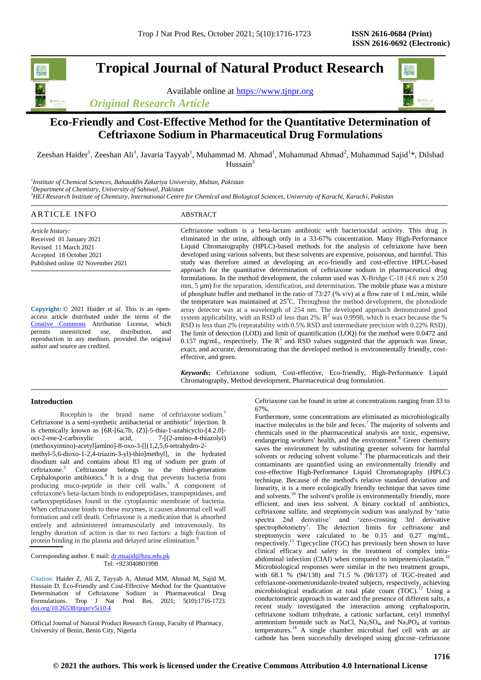**Tropical Journal of Natural Product Research**

Available online at [https://www.tjnpr.org](https://www.tjnpr.org/) *Original Research Article*



## **Eco-Friendly and Cost-Effective Method for the Quantitative Determination of Ceftriaxone Sodium in Pharmaceutical Drug Formulations**

Zeeshan Haider<sup>1</sup>, Zeeshan Ali<sup>1</sup>, Javaria Tayyab<sup>1</sup>, Muhammad M. Ahmad<sup>1</sup>, Muhammad Ahmad<sup>2</sup>, Muhammad Sajid<sup>1\*</sup>, Dilshad  $Hussain<sup>3</sup>$ 

*1 Institute of Chemical Sciences, Bahauddin Zakariya University, Multan, Pakistan <sup>2</sup>Department of Chemistry, University of Sahiwal, Pakistan <sup>3</sup>HEJ Research Institute of Chemistry, International Centre for Chemical and Biological Sciences, University of Karachi, Karachi, Pakistan*

## ARTICLE INFO ABSTRACT

*Article history:* Received 01 January 2021 Revised 11 March 2021 Accepted 18 October 2021 Published online 02 November 2021

**Copyright:** © 2021 Haider *et al*. This is an openaccess article distributed under the terms of the [Creative Commons](https://creativecommons.org/licenses/by/4.0/) Attribution License, which<br>permits unrestricted use, distribution, and permits unrestricted use, distribution, and reproduction in any medium, provided the original author and source are credited.

Ceftriaxone sodium is a beta-lactam antibiotic with bacteriocidal activity. This drug is eliminated in the urine, although only in a 33-67% concentration. Many High-Performance Liquid Chromatography (HPLC)-based methods for the analysis of ceftriaxone have been developed using various solvents, but these solvents are expensive, poisonous, and harmful. This study was therefore aimed at developing an eco-friendly and cost-effective HPLC-based approach for the quantitative determination of ceftriaxone sodium in pharmaceutical drug formulations. In the method development, the column used was X-Bridge C-18 (4.6 mm x 250 mm, 5  $\mu$ m) for the separation, identification, and determination. The mobile phase was a mixture of phosphate buffer and methanol in the ratio of 73:27 (% v/v) at a flow rate of 1 mL/min, while the temperature was maintained at  $25^{\circ}$ C. Throughout the method development, the photodiode array detector was at a wavelength of 254 nm. The developed approach demonstrated good system applicability, with an RSD of less than 2%.  $R^2$  was 0.9998, which is exact because the % RSD is less than 2% (repeatability with 0.5% RSD and intermediate precision with 0.22% RSD). The limit of detection (LOD) and limit of quantification (LOQ) for the method were 0.0472 and 0.157 mg/mL, respectively. The  $R^2$  and RSD values suggested that the approach was linear, exact, and accurate, demonstrating that the developed method is environmentally friendly, costeffective, and green.

*Keywords***:** Ceftriaxone sodium, Cost-effective, Eco-friendly, High-Performance Liquid Chromatography, Method development, Pharmaceutical drug formulation.

## **Introduction**

Rocephin is the brand name of ceftriaxone sodium.<sup>1</sup> Ceftriaxone is a semi-synthetic antibacterial or antibiotic<sup>2</sup> injection. It is chemically known as  $[6R-[6a,7b, (Z)]-5-thia-1-azabicyclo-[4.2.0]-oct-2-ene-2-carboxvlic$  acid.  $7-[2-amino-4-thiazolv])$ acid,  $7-[2-amin-4-thiazoly]$ (methoxyimino)-acetyl]amino]-8-oxo-3-[[(1,2,5,6-tetrahydro-2 methyl-5,6-dioxo-1-2,4-triazin-3-yl)-thio]methyl], in the hydrated disodium salt and contains about 83 mg of sodium per gram of ceftriaxone.<sup>3</sup> Ceftriaxone belongs to the third-generation Cephalosporin antibiotics.<sup>4</sup> It is a drug that prevents bacteria from producing muco-peptide in their cell walls.<sup>5</sup> A component of ceftriaxone's beta-lactam binds to endopeptidases, transpeptidases, and carboxypeptidases found in the cytoplasmic membrane of bacteria. When ceftriaxone binds to these enzymes, it causes abnormal cell wall formation and cell death. Ceftriaxone is a medication that is absorbed entirely and administered intramuscularly and intravenously. Its lengthy duration of action is due to two factors: a high fraction of protein binding in the plasma and delayed urine elimination.<sup>6</sup>

Corresponding author. E mail[: dr.msajid@bzu.edu.pk](mailto:dr.msajid@bzu.edu.pk) Tel: +923040801998

Citation: Haider Z, Ali Z, Tayyab A, Ahmad MM, Ahmad M, Sajid M, Hussain D. Eco-Friendly and Cost-Effective Method for the Quantitative Determination of Ceftriaxone Sodium in Pharmaceutical Drug Formulations. Trop J Nat Prod Res. 2021; 5(10):1716-1723. [doi.org/10.26538/tjnpr/v5i10.4](http://www.doi.org/10.26538/tjnpr/v1i4.5)

Official Journal of Natural Product Research Group, Faculty of Pharmacy, University of Benin, Benin City, Nigeria

Ceftriaxone can be found in urine at concentrations ranging from 33 to 67%.

Furthermore, some concentrations are eliminated as microbiologically inactive molecules in the bile and feces.<sup>7</sup> The majority of solvents and chemicals used in the pharmaceutical analysis are toxic, expensive, endangering workers' health, and the environment.<sup>8</sup> Green chemistry saves the environment by substituting greener solvents for harmful solvents or reducing solvent volume.<sup>9</sup> The pharmaceuticals and their contaminants are quantified using an environmentally friendly and cost-effective High-Performance Liquid Chromatography (HPLC) technique. Because of the method's relative standard deviation and linearity, it is a more ecologically friendly technique that saves time and solvents.<sup>10</sup> The solvent's profile is environmentally friendly, more efficient, and uses less solvent. A binary cocktail of antibiotics, ceftriaxone sulfate, and streptomycin sodium was analyzed by 'ratio spectra 2nd derivative' and 'zero-crossing 3rd derivative spectrophotometry'. The detection limits for ceftriaxone and streptomycin were calculated to be 0.15 and 0.27 mg/mL, respectively.<sup>11</sup> Tigecycline (TGC) has previously been shown to have clinical efficacy and safety in the treatment of complex intraabdominal infection (CIAI) when compared to imipenem/cilastatin.<sup>12</sup> Microbiological responses were similar in the two treatment groups, with 68.1 % (94/138) and 71.5 % (98/137) of TGC-treated and ceftriaxone-onemetronidazole-treated subjects, respectively, achieving microbiological eradication at total plate count (TOC).<sup>13</sup> Using a conductometric approach in water and the presence of different salts, a recent study investigated the interaction among cephalosporin, ceftriaxone sodium trihydrate, a cationic surfactant, cetyl trimethyl ammonium bromide such as NaCl,  $Na<sub>2</sub>SO<sub>4</sub>$ , and  $Na<sub>3</sub>PO<sub>4</sub>$  at various temperatures.<sup>14</sup> A single chamber microbial fuel cell with an air cathode has been successfully developed using glucose–ceftriaxone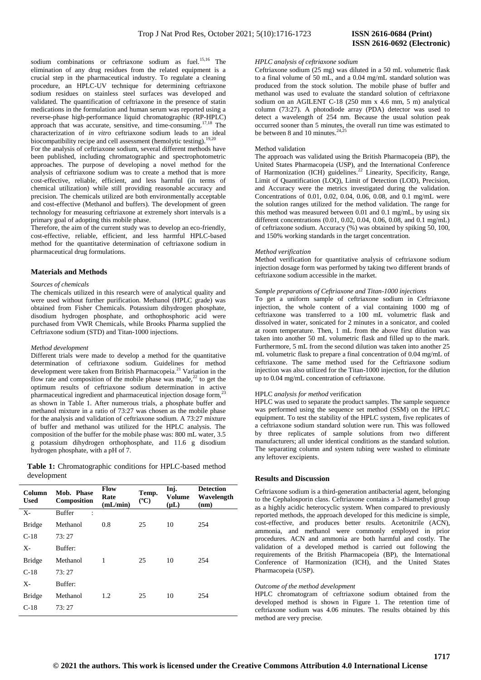sodium combinations or ceftriaxone sodium as fuel.<sup>15,16</sup> The elimination of any drug residues from the related equipment is a crucial step in the pharmaceutical industry. To regulate a cleaning procedure, an HPLC-UV technique for determining ceftriaxone sodium residues on stainless steel surfaces was developed and validated. The quantification of ceftriaxone in the presence of statin medications in the formulation and human serum was reported using a reverse-phase high-performance liquid chromatographic (RP-HPLC) approach that was accurate, sensitive, and time-consuming.17,18 The characterization of *in vitro* ceftriaxone sodium leads to an ideal biocompatibility recipe and cell assessment (hemolytic testing).

For the analysis of ceftriaxone sodium, several different methods have been published, including chromatographic and spectrophotometric approaches. The purpose of developing a novel method for the analysis of ceftriaxone sodium was to create a method that is more cost-effective, reliable, efficient, and less harmful (in terms of chemical utilization) while still providing reasonable accuracy and precision. The chemicals utilized are both environmentally acceptable and cost-effective (Methanol and buffers). The development of green technology for measuring ceftriaxone at extremely short intervals is a primary goal of adopting this mobile phase.

Therefore, the aim of the current study was to develop an eco-friendly, cost-effective, reliable, efficient, and less harmful HPLC-based method for the quantitative determination of ceftriaxone sodium in pharmaceutical drug formulations.

## **Materials and Methods**

#### *Sources of chemicals*

The chemicals utilized in this research were of analytical quality and were used without further purification. Methanol (HPLC grade) was obtained from Fisher Chemicals. Potassium dihydrogen phosphate, disodium hydrogen phosphate, and orthophosphoric acid were purchased from VWR Chemicals, while Brooks Pharma supplied the Ceftriaxone sodium (STD) and Titan-1000 injections.

## *Method development*

Different trials were made to develop a method for the quantitative determination of ceftriaxone sodium. Guidelines for method development were taken from British Pharmacopeia.<sup>21</sup> Variation in the flow rate and composition of the mobile phase was made,<sup>22</sup> to get the optimum results of ceftriaxone sodium determination in active pharmaceutical ingredient and pharmaceutical injection dosage form,<sup>2</sup> as shown in Table 1. After numerous trials, a phosphate buffer and methanol mixture in a ratio of 73:27 was chosen as the mobile phase for the analysis and validation of ceftriaxone sodium. A 73:27 mixture of buffer and methanol was utilized for the HPLC analysis. The composition of the buffer for the mobile phase was: 800 mL water, 3.5 g potassium dihydrogen orthophosphate, and 11.6 g disodium hydrogen phosphate, with a pH of 7.

| Table 1: Chromatographic conditions for HPLC-based method |  |  |
|-----------------------------------------------------------|--|--|
| development                                               |  |  |

| Column<br><b>Used</b> | Mob. Phase<br>Composition       | Flow<br>Rate<br>(mL/min) | Temp.<br>$(^{\circ}C)$ | Inj.<br>Volume<br>$(\mu L)$ | <b>Detection</b><br>Wavelength<br>(nm) |
|-----------------------|---------------------------------|--------------------------|------------------------|-----------------------------|----------------------------------------|
| $X-$                  | <b>Buffer</b><br>$\ddot{\cdot}$ |                          |                        |                             |                                        |
| <b>Bridge</b>         | Methanol                        | 0.8                      | 25                     | 10                          | 254                                    |
| $C-18$                | 73:27                           |                          |                        |                             |                                        |
| $X-$                  | Buffer:                         |                          |                        |                             |                                        |
| <b>Bridge</b>         | Methanol                        | 1                        | 25                     | 10                          | 254                                    |
| $C-18$                | 73:27                           |                          |                        |                             |                                        |
| X-                    | Buffer:                         |                          |                        |                             |                                        |
| <b>Bridge</b>         | Methanol                        | 1.2                      | 25                     | 10                          | 254                                    |
| $C-18$                | 73:27                           |                          |                        |                             |                                        |

# **ISSN 2616-0692 (Electronic)**

#### *HPLC analysis of ceftriaxone sodium*

Ceftriaxone sodium (25 mg) was diluted in a 50 mL volumetric flask to a final volume of 50 mL, and a 0.04 mg/mL standard solution was produced from the stock solution. The mobile phase of buffer and methanol was used to evaluate the standard solution of ceftriaxone sodium on an AGILENT C-18 (250 mm x 4.6 mm, 5 m) analytical column (73:27). A photodiode array (PDA) detector was used to detect a wavelength of 254 nm. Because the usual solution peak occurred sooner than 5 minutes, the overall run time was estimated to be between 8 and 10 minutes.<sup>2</sup>

## Method validation

The approach was validated using the British Pharmacopeia (BP), the United States Pharmacopeia (USP), and the International Conference of Harmonization (ICH) guidelines.<sup>22</sup> Linearity, Specificity, Range, Limit of Quantification (LOQ), Limit of Detection (LOD), Precision, and Accuracy were the metrics investigated during the validation. Concentrations of 0.01, 0.02, 0.04, 0.06, 0.08, and 0.1 mg/mL were the solution ranges utilized for the method validation. The range for this method was measured between 0.01 and 0.1 mg/mL, by using six different concentrations (0.01, 0.02, 0.04, 0.06, 0.08, and 0.1 mg/mL) of ceftriaxone sodium. Accuracy (%) was obtained by spiking 50, 100, and 150% working standards in the target concentration.

## *Method verification*

Method verification for quantitative analysis of ceftriaxone sodium injection dosage form was performed by taking two different brands of ceftriaxone sodium accessible in the market.

## *Sample preparations of Ceftriaxone and Titan-1000 injections*

To get a uniform sample of ceftriaxone sodium in Ceftriaxone injection, the whole content of a vial containing 1000 mg of ceftriaxone was transferred to a 100 mL volumetric flask and dissolved in water, sonicated for 2 minutes in a sonicator, and cooled at room temperature. Then, 1 mL from the above first dilution was taken into another 50 mL volumetric flask and filled up to the mark. Furthermore, 5 mL from the second dilution was taken into another 25 mL volumetric flask to prepare a final concentration of 0.04 mg/mL of ceftriaxone. The same method used for the Ceftriaxone sodium injection was also utilized for the Titan-1000 injection, for the dilution up to 0.04 mg/mL concentration of ceftriaxone.

## HPLC *analysis for method v*erification

HPLC was used to separate the product samples. The sample sequence was performed using the sequence set method (SSM) on the HPLC equipment. To test the stability of the HPLC system, five replicates of a ceftriaxone sodium standard solution were run. This was followed by three replicates of sample solutions from two different manufacturers; all under identical conditions as the standard solution. The separating column and system tubing were washed to eliminate any leftover excipients.

## **Results and Discussion**

Ceftriaxone sodium is a third-generation antibacterial agent, belonging to the Cephalosporin class. Ceftriaxone contains a 3-thiamethyl group as a highly acidic heterocyclic system. When compared to previously reported methods, the approach developed for this medicine is simple, cost-effective, and produces better results. Acetonitrile (ACN), ammonia, and methanol were commonly employed in prior procedures. ACN and ammonia are both harmful and costly. The validation of a developed method is carried out following the requirements of the British Pharmacopeia (BP), the International Conference of Harmonization (ICH), and the United States Pharmacopeia (USP).

## *Outcome of the method development*

HPLC chromatogram of ceftriaxone sodium obtained from the developed method is shown in Figure 1. The retention time of ceftriaxone sodium was 4.06 minutes. The results obtained by this method are very precise.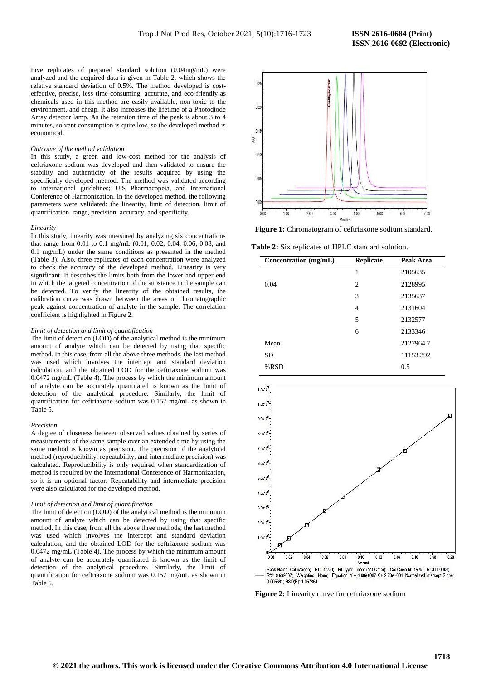Five replicates of prepared standard solution (0.04mg/mL) were analyzed and the acquired data is given in Table 2, which shows the relative standard deviation of 0.5%. The method developed is costeffective, precise, less time-consuming, accurate, and eco-friendly as chemicals used in this method are easily available, non-toxic to the environment, and cheap. It also increases the lifetime of a Photodiode Array detector lamp. As the retention time of the peak is about 3 to 4 minutes, solvent consumption is quite low, so the developed method is economical.

#### *Outcome of the method validation*

In this study, a green and low-cost method for the analysis of ceftriaxone sodium was developed and then validated to ensure the stability and authenticity of the results acquired by using the specifically developed method. The method was validated according to international guidelines; U.S Pharmacopeia, and International Conference of Harmonization. In the developed method, the following parameters were validated: the linearity, limit of detection, limit of quantification, range, precision, accuracy, and specificity.

#### *Linearity*

In this study, linearity was measured by analyzing six concentrations that range from 0.01 to 0.1 mg/mL (0.01, 0.02, 0.04, 0.06, 0.08, and 0.1 mg/mL) under the same conditions as presented in the method (Table 3). Also, three replicates of each concentration were analyzed to check the accuracy of the developed method. Linearity is very significant. It describes the limits both from the lower and upper end in which the targeted concentration of the substance in the sample can be detected. To verify the linearity of the obtained results, the calibration curve was drawn between the areas of chromatographic peak against concentration of analyte in the sample. The correlation coefficient is highlighted in Figure 2.

## *Limit of detection and limit of quantification*

The limit of detection (LOD) of the analytical method is the minimum amount of analyte which can be detected by using that specific method. In this case, from all the above three methods, the last method was used which involves the intercept and standard deviation calculation, and the obtained LOD for the ceftriaxone sodium was 0.0472 mg/mL (Table 4). The process by which the minimum amount of analyte can be accurately quantitated is known as the limit of detection of the analytical procedure. Similarly, the limit of quantification for ceftriaxone sodium was 0.157 mg/mL as shown in Table 5.

#### *Precision*

A degree of closeness between observed values obtained by series of measurements of the same sample over an extended time by using the same method is known as precision. The precision of the analytical method (reproducibility, repeatability, and intermediate precision) was calculated. Reproducibility is only required when standardization of method is required by the International Conference of Harmonization, so it is an optional factor. Repeatability and intermediate precision were also calculated for the developed method.

#### *Limit of detection and limit of quantification*

The limit of detection (LOD) of the analytical method is the minimum amount of analyte which can be detected by using that specific method. In this case, from all the above three methods, the last method was used which involves the intercept and standard deviation calculation, and the obtained LOD for the ceftriaxone sodium was 0.0472 mg/mL (Table 4). The process by which the minimum amount of analyte can be accurately quantitated is known as the limit of detection of the analytical procedure. Similarly, the limit of quantification for ceftriaxone sodium was 0.157 mg/mL as shown in Table 5.



**Figure 1:** Chromatogram of ceftriaxone sodium standard.

**Table 2:** Six replicates of HPLC standard solution.

| Concentration (mg/mL) | <b>Replicate</b> | Peak Area |
|-----------------------|------------------|-----------|
|                       | 1                | 2105635   |
| 0.04                  | $\overline{c}$   | 2128995   |
|                       | 3                | 2135637   |
|                       | 4                | 2131604   |
|                       | 5                | 2132577   |
|                       | 6                | 2133346   |
| Mean                  |                  | 2127964.7 |
| <b>SD</b>             |                  | 11153.392 |
| %RSD                  |                  | 0.5       |



R'2: 0.999807; Weighting: None; Equation: Y = 4.60e+007 X + 2.73e+004; Normalized Intercept/Slope: 0.005681: RSD(E): 1.057864

**Figure 2:** Linearity curve for ceftriaxone sodium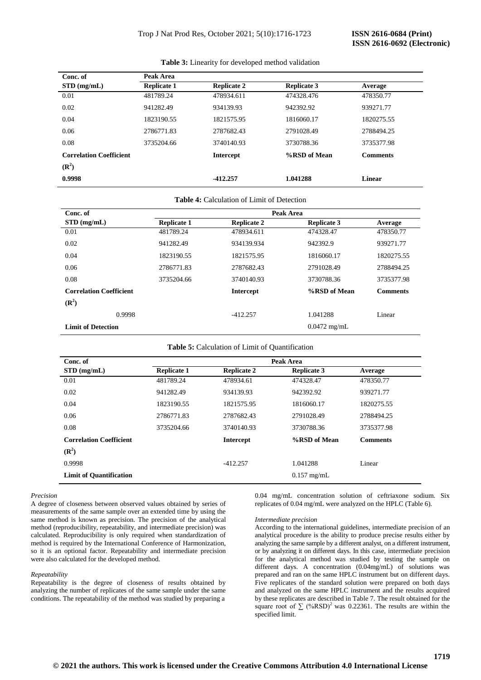| Conc. of                                           | Peak Area          |                    |                    |                 |
|----------------------------------------------------|--------------------|--------------------|--------------------|-----------------|
| $STD$ (mg/mL)                                      | <b>Replicate 1</b> | <b>Replicate 2</b> | <b>Replicate 3</b> | Average         |
| 0.01                                               | 481789.24          | 478934.611         | 474328.476         | 478350.77       |
| 0.02                                               | 941282.49          | 934139.93          | 942392.92          | 939271.77       |
| 0.04                                               | 1823190.55         | 1821575.95         | 1816060.17         | 1820275.55      |
| 0.06                                               | 2786771.83         | 2787682.43         | 2791028.49         | 2788494.25      |
| 0.08                                               | 3735204.66         | 3740140.93         | 3730788.36         | 3735377.98      |
| <b>Correlation Coefficient</b><br>$(\mathbb{R}^2)$ |                    | <b>Intercept</b>   | %RSD of Mean       | <b>Comments</b> |
| 0.9998                                             |                    | $-412.257$         | 1.041288           | Linear          |

## **Table 3:** Linearity for developed method validation

| Conc. of                       | Peak Area          |                    |                    |                 |  |
|--------------------------------|--------------------|--------------------|--------------------|-----------------|--|
| STD(mg/mL)                     | <b>Replicate 1</b> | <b>Replicate 2</b> | <b>Replicate 3</b> | Average         |  |
| 0.01                           | 481789.24          | 478934.611         | 474328.47          | 478350.77       |  |
| 0.02                           | 941282.49          | 934139.934         | 942392.9           | 939271.77       |  |
| 0.04                           | 1823190.55         | 1821575.95         | 1816060.17         | 1820275.55      |  |
| 0.06                           | 2786771.83         | 2787682.43         | 2791028.49         | 2788494.25      |  |
| 0.08                           | 3735204.66         | 3740140.93         | 3730788.36         | 3735377.98      |  |
| <b>Correlation Coefficient</b> |                    | <b>Intercept</b>   | %RSD of Mean       | <b>Comments</b> |  |
| $(\mathbb{R}^2)$               |                    |                    |                    |                 |  |
| 0.9998                         |                    | $-412.257$         | 1.041288           | Linear          |  |
| <b>Limit of Detection</b>      |                    |                    | $0.0472$ mg/mL     |                 |  |

## **Table 5:** Calculation of Limit of Quantification

| Conc. of                       | Peak Area          |                    |                    |                 |
|--------------------------------|--------------------|--------------------|--------------------|-----------------|
| $STD$ (mg/mL)                  | <b>Replicate 1</b> | <b>Replicate 2</b> | <b>Replicate 3</b> | Average         |
| 0.01                           | 481789.24          | 478934.61          | 474328.47          | 478350.77       |
| 0.02                           | 941282.49          | 934139.93          | 942392.92          | 939271.77       |
| 0.04                           | 1823190.55         | 1821575.95         | 1816060.17         | 1820275.55      |
| 0.06                           | 2786771.83         | 2787682.43         | 2791028.49         | 2788494.25      |
| 0.08                           | 3735204.66         | 3740140.93         | 3730788.36         | 3735377.98      |
| <b>Correlation Coefficient</b> |                    | <b>Intercept</b>   | %RSD of Mean       | <b>Comments</b> |
| $(\mathbb{R}^2)$               |                    |                    |                    |                 |
| 0.9998                         |                    | $-412.257$         | 1.041288           | Linear          |
| <b>Limit of Quantification</b> |                    |                    | $0.157$ mg/mL      |                 |

#### *Precision*

A degree of closeness between observed values obtained by series of measurements of the same sample over an extended time by using the same method is known as precision. The precision of the analytical method (reproducibility, repeatability, and intermediate precision) was calculated. Reproducibility is only required when standardization of method is required by the International Conference of Harmonization, so it is an optional factor. Repeatability and intermediate precision were also calculated for the developed method.

#### *Repeatability*

Repeatability is the degree of closeness of results obtained by analyzing the number of replicates of the same sample under the same conditions. The repeatability of the method was studied by preparing a

0.04 mg/mL concentration solution of ceftriaxone sodium. Six replicates of 0.04 mg/mL were analyzed on the HPLC (Table 6).

#### *Intermediate precision*

According to the international guidelines, intermediate precision of an analytical procedure is the ability to produce precise results either by analyzing the same sample by a different analyst, on a different instrument, or by analyzing it on different days. In this case, intermediate precision for the analytical method was studied by testing the sample on different days. A concentration (0.04mg/mL) of solutions was prepared and ran on the same HPLC instrument but on different days. Five replicates of the standard solution were prepared on both days and analyzed on the same HPLC instrument and the results acquired by these replicates are described in Table 7. The result obtained for the square root of  $\sum$  (%RSD)<sup>2</sup> was 0.22361. The results are within the specified limit.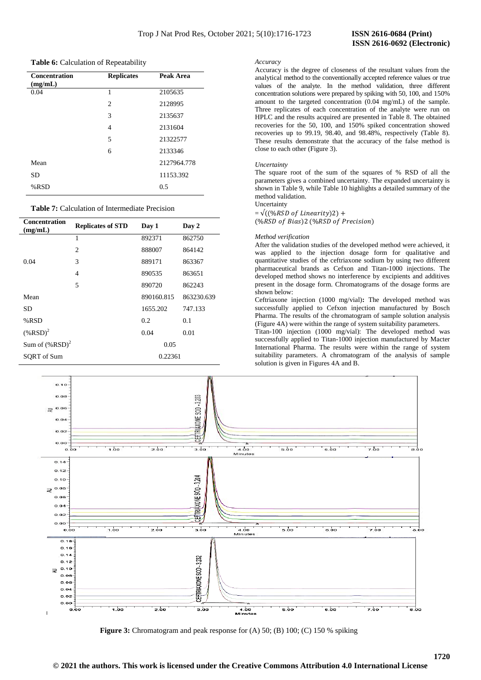## **Table 6:** Calculation of Repeatability

| <b>Concentration</b><br>(mg/mL) | <b>Replicates</b> | Peak Area   |
|---------------------------------|-------------------|-------------|
| 0.04                            | 1                 | 2105635     |
|                                 | $\overline{c}$    | 2128995     |
|                                 | 3                 | 2135637     |
|                                 | $\overline{4}$    | 2131604     |
|                                 | 5                 | 21322577    |
|                                 | 6                 | 2133346     |
| Mean                            |                   | 2127964.778 |
| <b>SD</b>                       |                   | 11153.392   |
| %RSD                            |                   | 0.5         |

## **Table 7:** Calculation of Intermediate Precision

| <b>Concentration</b><br>(mg/mL) | <b>Replicates of STD</b> | Day 1      | Day 2      |
|---------------------------------|--------------------------|------------|------------|
|                                 | 1                        | 892371     | 862750     |
|                                 | $\mathfrak{2}$           | 888007     | 864142     |
| 0.04                            | 3                        | 889171     | 863367     |
|                                 | $\overline{4}$           | 890535     | 863651     |
|                                 | 5                        | 890720     | 862243     |
| Mean                            |                          | 890160.815 | 863230.639 |
| SD                              |                          | 1655.202   | 747.133    |
| %RSD                            |                          | 0.2        | 0.1        |
| $(\% RSD)^2$                    |                          | 0.04       | 0.01       |
| Sum of $(\% RSD)^2$             |                          | 0.05       |            |
| SORT of Sum                     |                          | 0.22361    |            |

## *Accuracy*

Accuracy is the degree of closeness of the resultant values from the analytical method to the conventionally accepted reference values or true values of the analyte. In the method validation, three different concentration solutions were prepared by spiking with 50, 100, and 150% amount to the targeted concentration (0.04 mg/mL) of the sample. Three replicates of each concentration of the analyte were run on HPLC and the results acquired are presented in Table 8. The obtained recoveries for the 50, 100, and 150% spiked concentration showed recoveries up to 99.19, 98.40, and 98.48%, respectively (Table 8). These results demonstrate that the accuracy of the false method is close to each other (Figure 3).

### *Uncertainty*

The square root of the sum of the squares of % RSD of all the parameters gives a combined uncertainty. The expanded uncertainty is shown in Table 9, while Table 10 highlights a detailed summary of the method validation.

**Uncertainty**  $=\sqrt{((\%RSD\ of\ Linearity)2)} +$ (%RSD of Bias)2 (%RSD of Precision)

#### *Method verification*

After the validation studies of the developed method were achieved, it was applied to the injection dosage form for qualitative and quantitative studies of the ceftriaxone sodium by using two different pharmaceutical brands as Cefxon and Titan-1000 injections. The developed method shows no interference by excipients and additives present in the dosage form. Chromatograms of the dosage forms are shown below:

Ceftriaxone injection (1000 mg/vial)**:** The developed method was successfully applied to Cefxon injection manufactured by Bosch Pharma. The results of the chromatogram of sample solution analysis (Figure 4A) were within the range of system suitability parameters.

Titan-100 injection (1000 mg/vial): The developed method was successfully applied to Titan-1000 injection manufactured by Macter International Pharma. The results were within the range of system suitability parameters. A chromatogram of the analysis of sample solution is given in Figures 4A and B.



**Figure 3:** Chromatogram and peak response for (A) 50; (B) 100; (C) 150 % spiking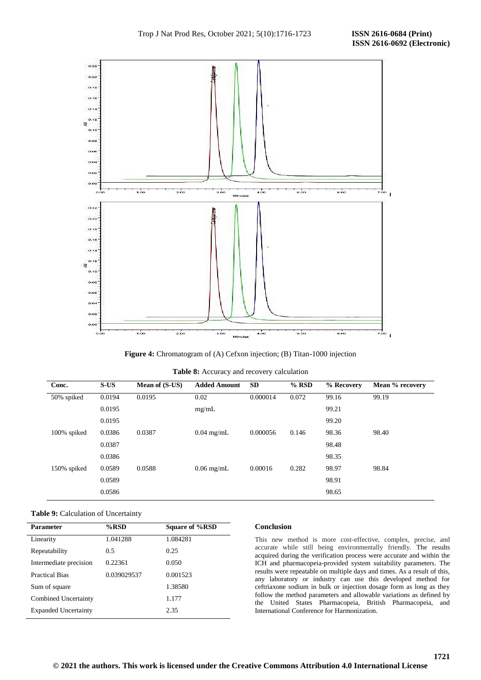

Figure 4: Chromatogram of (A) Cefxon injection; (B) Titan-1000 injection

| Table 8: Accuracy and recovery calculation |  |
|--------------------------------------------|--|
|--------------------------------------------|--|

| Conc.       | S-US   | Mean of (S-US) | <b>Added Amount</b> | <b>SD</b> | $%$ RSD | % Recovery | Mean % recovery |
|-------------|--------|----------------|---------------------|-----------|---------|------------|-----------------|
| 50% spiked  | 0.0194 | 0.0195         | 0.02                | 0.000014  | 0.072   | 99.16      | 99.19           |
|             | 0.0195 |                | mg/mL               |           |         | 99.21      |                 |
|             | 0.0195 |                |                     |           |         | 99.20      |                 |
| 100% spiked | 0.0386 | 0.0387         | $0.04$ mg/mL        | 0.000056  | 0.146   | 98.36      | 98.40           |
|             | 0.0387 |                |                     |           |         | 98.48      |                 |
|             | 0.0386 |                |                     |           |         | 98.35      |                 |
| 150% spiked | 0.0589 | 0.0588         | $0.06$ mg/mL        | 0.00016   | 0.282   | 98.97      | 98.84           |
|             | 0.0589 |                |                     |           |         | 98.91      |                 |
|             | 0.0586 |                |                     |           |         | 98.65      |                 |

## **Table 9:** Calculation of Uncertainty

| Parameter                   | %RSD        | Square of %RSD |
|-----------------------------|-------------|----------------|
| Linearity                   | 1.041288    | 1.084281       |
| Repeatability               | 0.5         | 0.25           |
| Intermediate precision      | 0.22361     | 0.050          |
| Practical Bias              | 0.039029537 | 0.001523       |
| Sum of square               |             | 1.38580        |
| Combined Uncertainty        |             | 1.177          |
| <b>Expanded Uncertainty</b> |             | 2.35           |

## **Conclusion**

This new method is more cost-effective, complex, precise, and accurate while still being environmentally friendly. The results acquired during the verification process were accurate and within the ICH and pharmacopeia-provided system suitability parameters. The results were repeatable on multiple days and times. As a result of this, any laboratory or industry can use this developed method for ceftriaxone sodium in bulk or injection dosage form as long as they follow the method parameters and allowable variations as defined by the United States Pharmacopeia, British Pharmacopeia, and International Conference for Harmonization.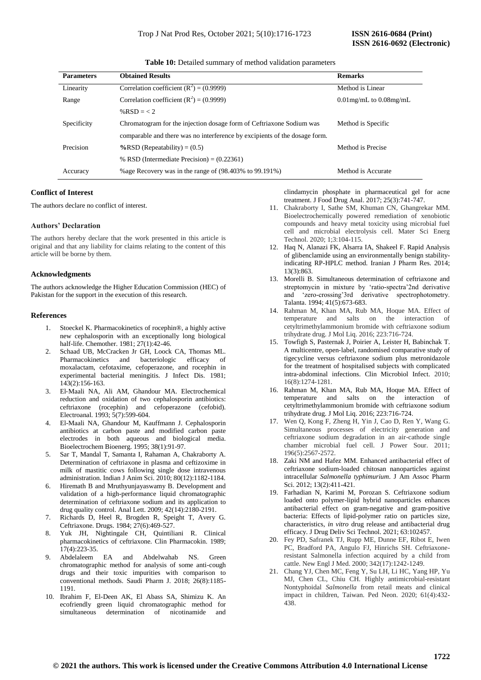Table 10: Detailed summary of method validation parameters

| <b>Parameters</b> | <b>Obtained Results</b>                                                    | <b>Remarks</b>               |
|-------------------|----------------------------------------------------------------------------|------------------------------|
| Linearity         | Correlation coefficient $(R^2) = (0.9999)$                                 | Method is Linear             |
| Range             | Correlation coefficient ( $R^2$ ) = (0.9999)                               | $0.01$ mg/mL to $0.08$ mg/mL |
|                   | % $RSD = 2$                                                                |                              |
| Specificity       | Chromatogram for the injection dosage form of Ceftriaxone Sodium was       | Method is Specific           |
|                   | comparable and there was no interference by excipients of the dosage form. |                              |
| Precision         | $\%$ RSD (Repeatability) = (0.5)                                           | Method is Precise            |
|                   | % RSD (Intermediate Precision) = $(0.22361)$                               |                              |
| Accuracy          | % age Recovery was in the range of $(98.403\%$ to $99.191\%)$              | Method is Accurate           |

## **Conflict of Interest**

The authors declare no conflict of interest.

## **Authors' Declaration**

The authors hereby declare that the work presented in this article is original and that any liability for claims relating to the content of this article will be borne by them.

## **Acknowledgments**

The authors acknowledge the Higher Education Commission (HEC) of Pakistan for the support in the execution of this research.

## **References**

- Stoeckel K. Pharmacokinetics of rocephin®, a highly active new cephalosporin with an exceptionally long biological half-life. Chemother. 1981; 27(1):42-46.
- 2. Schaad UB, McCracken Jr GH, Loock CA, Thomas ML. Pharmacokinetics and bacteriologic efficacy of moxalactam, cefotaxime, cefoperazone, and rocephin in experimental bacterial meningitis. J Infect Dis. 1981; 143(2):156-163.
- 3. El‐Maali NA, Ali AM, Ghandour MA. Electrochemical reduction and oxidation of two cephalosporin antibiotics: ceftriaxone (rocephin) and cefoperazone (cefobid). Electroanal. 1993; 5(7):599-604.
- 4. El-Maali NA, Ghandour M, Kauffmann J. Cephalosporin antibiotics at carbon paste and modified carbon paste electrodes in both aqueous and biological media. Bioelectrochem Bioenerg. 1995; 38(1):91-97.
- 5. Sar T, Mandal T, Samanta I, Rahaman A, Chakraborty A. Determination of ceftriaxone in plasma and ceftizoxime in milk of mastitic cows following single dose intravenous administration. Indian J Anim Sci. 2010; 80(12):1182-1184.
- Hiremath B and Mruthyunjayaswamy B. Development and validation of a high-performance liquid chromatographic determination of ceftriaxone sodium and its application to drug quality control. Anal Lett. 2009; 42(14):2180-2191.
- 7. Richards D, Heel R, Brogden R, Speight T, Avery G. Ceftriaxone. Drugs. 1984; 27(6):469-527.
- 8. Yuk JH, Nightingale CH, Quintiliani R. Clinical pharmacokinetics of ceftriaxone. Clin Pharmacokin. 1989;  $17(4)$ : 223-35.
- 9. Abdelaleem EA and Abdelwahab NS. Green chromatographic method for analysis of some anti-cough drugs and their toxic impurities with comparison to conventional methods. Saudi Pharm J. 2018; 26(8):1185- 1191.
- 10. Ibrahim F, El-Deen AK, El Abass SA, Shimizu K. An ecofriendly green liquid chromatographic method for simultaneous determination of nicotinamide and

clindamycin phosphate in pharmaceutical gel for acne treatment. J Food Drug Anal. 2017; 25(3):741-747.

- 11. Chakraborty I, Sathe SM, Khuman CN, Ghangrekar MM. Bioelectrochemically powered remediation of xenobiotic compounds and heavy metal toxicity using microbial fuel cell and microbial electrolysis cell. Mater Sci Energ Technol. 2020; 1;3:104-115.
- 12. Haq N, Alanazi FK, Alsarra IA, Shakeel F. Rapid Analysis of glibenclamide using an environmentally benign stabilityindicating RP-HPLC method. Iranian J Pharm Res. 2014; 13(3):863.
- 13. Morelli B. Simultaneous determination of ceftriaxone and streptomycin in mixture by 'ratio-spectra'2nd derivative and 'zero-crossing'3rd derivative spectrophotometry. Talanta. 1994; 41(5):673-683.
- 14. Rahman M, Khan MA, Rub MA, Hoque MA. Effect of temperature and salts on the interaction of cetyltrimethylammonium bromide with ceftriaxone sodium trihydrate drug. J Mol Liq. 2016; 223:716-724.
- 15. Towfigh S, Pasternak J, Poirier A, Leister H, Babinchak T. A multicentre, open‐label, randomised comparative study of tigecycline versus ceftriaxone sodium plus metronidazole for the treatment of hospitalised subjects with complicated intra‐abdominal infections. Clin Microbiol Infect. 2010; 16(8):1274-1281.
- 16. Rahman M, Khan MA, Rub MA, Hoque MA. Effect of temperature and salts on the interaction of cetyltrimethylammonium bromide with ceftriaxone sodium trihydrate drug. J Mol Liq. 2016; 223:716-724.
- 17. Wen Q, Kong F, Zheng H, Yin J, Cao D, Ren Y, Wang G. Simultaneous processes of electricity generation and ceftriaxone sodium degradation in an air-cathode single chamber microbial fuel cell. J Power Sour. 2011; 196(5):2567-2572.
- 18. Zaki NM and Hafez MM. Enhanced antibacterial effect of ceftriaxone sodium-loaded chitosan nanoparticles against intracellular *Salmonella typhimurium*. J Am Assoc Pharm Sci. 2012; 13(2):411-421.
- 19. Farhadian N, Karimi M, Porozan S. Ceftriaxone sodium loaded onto polymer-lipid hybrid nanoparticles enhances antibacterial effect on gram-negative and gram-positive bacteria: Effects of lipid-polymer ratio on particles size, characteristics, *in vitro* drug release and antibacterial drug efficacy. J Drug Deliv Sci Technol. 2021; 63:102457.
- 20. Fey PD, Safranek TJ, Rupp ME, Dunne EF, Ribot E, Iwen PC, Bradford PA, Angulo FJ, Hinrichs SH. Ceftriaxoneresistant Salmonella infection acquired by a child from cattle. New Engl J Med. 2000; 342(17):1242-1249.
- 21. Chang YJ, Chen MC, Feng Y, Su LH, Li HC, Yang HP, Yu MJ, Chen CL, Chiu CH. Highly antimicrobial-resistant Nontyphoidal *Salmonella* from retail meats and clinical impact in children, Taiwan. Ped Neon. 2020; 61(4):432- 438.